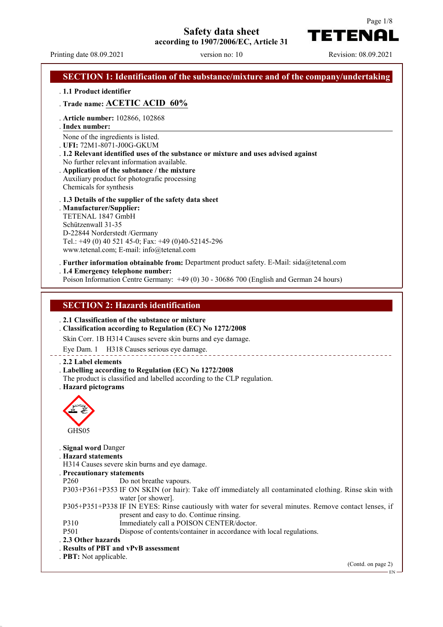**Safety data sheet**

**according to 1907/2006/EC, Article 31**

Printing date 08.09.2021 version no: 10 Revision: 08.09.2021

TETENAI

Page 1/8

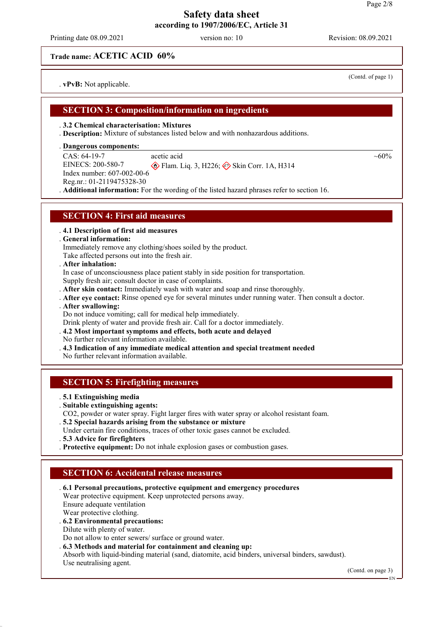Printing date 08.09.2021 version no: 10 Revision: 08.09.2021

**Trade name: ACETIC ACID 60%**

. **vPvB:** Not applicable.

# **SECTION 3: Composition/information on ingredients**

. **3.2 Chemical characterisation: Mixtures**

- . **Description:** Mixture of substances listed below and with nonhazardous additions.
- **Dangerous components:** .

CAS: 64-19-7 EINECS: 200-580-7 Index number: 607-002-00-6 Reg.nr.: 01-2119475328-30 acetic acid Flam. Liq. 3, H226; Skin Corr. 1A, H314 . **Additional information:** For the wording of the listed hazard phrases refer to section 16.

 $~10\%$ 

**SECTION 4: First aid measures**

#### . **4.1 Description of first aid measures**

#### . **General information:**

Immediately remove any clothing/shoes soiled by the product. Take affected persons out into the fresh air.

. **After inhalation:**

In case of unconsciousness place patient stably in side position for transportation. Supply fresh air; consult doctor in case of complaints.

- . **After skin contact:** Immediately wash with water and soap and rinse thoroughly.
- . **After eye contact:** Rinse opened eye for several minutes under running water. Then consult a doctor.
- . **After swallowing:**
- Do not induce vomiting; call for medical help immediately.

Drink plenty of water and provide fresh air. Call for a doctor immediately.

. **4.2 Most important symptoms and effects, both acute and delayed** No further relevant information available.

. **4.3 Indication of any immediate medical attention and special treatment needed**

No further relevant information available.

# **SECTION 5: Firefighting measures**

#### . **5.1 Extinguishing media**

- . **Suitable extinguishing agents:**
- CO2, powder or water spray. Fight larger fires with water spray or alcohol resistant foam.
- . **5.2 Special hazards arising from the substance or mixture**
- Under certain fire conditions, traces of other toxic gases cannot be excluded.
- . **5.3 Advice for firefighters**
- . **Protective equipment:** Do not inhale explosion gases or combustion gases.

# **SECTION 6: Accidental release measures**

. **6.1 Personal precautions, protective equipment and emergency procedures**

Wear protective equipment. Keep unprotected persons away. Ensure adequate ventilation

Wear protective clothing.

- . **6.2 Environmental precautions:**
- Dilute with plenty of water.

Do not allow to enter sewers/ surface or ground water.

. **6.3 Methods and material for containment and cleaning up:**

Absorb with liquid-binding material (sand, diatomite, acid binders, universal binders, sawdust). Use neutralising agent.

(Contd. on page 3)

(Contd. of page 1)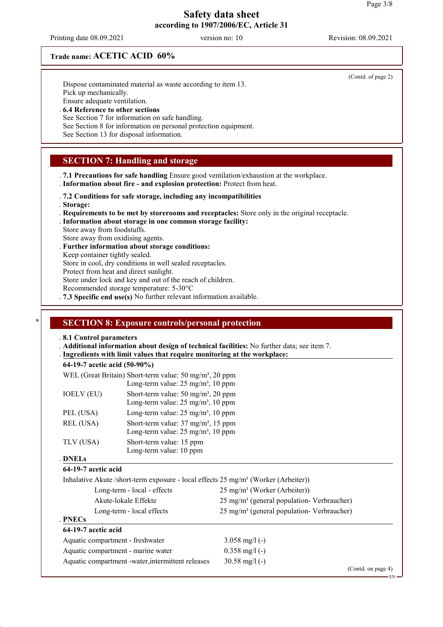Printing date 08.09.2021 version no: 10 Revision: 08.09.2021

# **Trade name: ACETIC ACID 60%**

| Dispose contaminated material as waste according to item 13.    |  |
|-----------------------------------------------------------------|--|
| Pick up mechanically.                                           |  |
| Ensure adequate ventilation.                                    |  |
| .6.4 Reference to other sections                                |  |
| See Section 7 for information on safe handling.                 |  |
| See Section 8 for information on personal protection equipment. |  |
| See Section 13 for disposal information.                        |  |
|                                                                 |  |

# **SECTION 7: Handling and storage**

. **7.1 Precautions for safe handling** Ensure good ventilation/exhaustion at the workplace.

- . **Information about fire and explosion protection:** Protect from heat.
- . **7.2 Conditions for safe storage, including any incompatibilities**
- . **Storage:**
- . **Requirements to be met by storerooms and receptacles:** Store only in the original receptacle.
- . **Information about storage in one common storage facility:**
- Store away from foodstuffs.
- Store away from oxidising agents. . **Further information about storage conditions:**
- Keep container tightly sealed.

Store in cool, dry conditions in well sealed receptacles.

Protect from heat and direct sunlight.

Store under lock and key and out of the reach of children.

- Recommended storage temperature: 5-30°C
- . **7.3 Specific end use(s)** No further relevant information available.

#### **SECTION 8: Exposure controls/personal protection**

. **8.1 Control parameters**

- . **Additional information about design of technical facilities:** No further data; see item 7.
- . Ingredients with limit values that require monitoring at the workplace:

| 64-19-7 acetic acid (50-90%) |                                                                                                                       |
|------------------------------|-----------------------------------------------------------------------------------------------------------------------|
|                              | WEL (Great Britain) Short-term value: 50 mg/m <sup>3</sup> , 20 ppm<br>Long-term value: 25 mg/m <sup>3</sup> , 10 ppm |
| <b>IOELV (EU)</b>            | Short-term value: $50 \text{ mg/m}^3$ , $20 \text{ ppm}$<br>Long-term value: 25 mg/m <sup>3</sup> , 10 ppm            |
| PEL (USA)                    | Long-term value: $25 \text{ mg/m}^3$ , 10 ppm                                                                         |
| REL (USA)                    | Short-term value: 37 mg/m <sup>3</sup> , 15 ppm<br>Long-term value: 25 mg/m <sup>3</sup> , 10 ppm                     |
| TLV (USA)                    | Short-term value: 15 ppm<br>Long-term value: 10 ppm                                                                   |

#### **DNELs** .

**64-19-7 acetic acid**

| Inhalative Akute /short-term exposure - local effects 25 mg/m <sup>3</sup> (Worker (Arbeiter)) |  |
|------------------------------------------------------------------------------------------------|--|
|------------------------------------------------------------------------------------------------|--|

Aquatic compartment - marine water 0.358 mg/l (-) Aquatic compartment -water, intermittent releases 30.58 mg/l (-)

| Long-term - local - effects      | $25 \text{ mg/m}^3$ (Worker (Arbeiter))              |
|----------------------------------|------------------------------------------------------|
| Akute-lokale Effekte             | $25 \text{ mg/m}^3$ (general population-Verbraucher) |
| Long-term - local effects        | $25 \text{ mg/m}^3$ (general population-Verbraucher) |
| <b>PNECs</b>                     |                                                      |
| 64-19-7 acetic acid              |                                                      |
| Aquatic compartment - freshwater | 3.058 mg/l $(-)$                                     |

#### **PNECs** .

| (Contd. on page 4) |  |
|--------------------|--|
|                    |  |

(Contd. of page 2)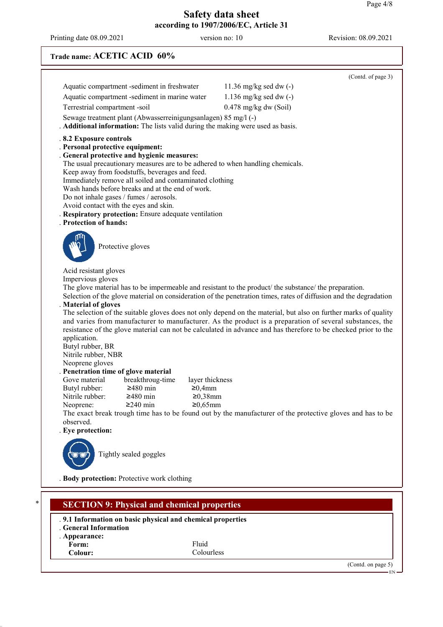Printing date 08.09.2021 version no: 10 Revision: 08.09.2021

| Trade name: ACETIC ACID 60%                                                                                                                                                                                                                                                                                                                                                                                                                                                                                                       |                                                                                                                                                                                                                                                                                                                                               |
|-----------------------------------------------------------------------------------------------------------------------------------------------------------------------------------------------------------------------------------------------------------------------------------------------------------------------------------------------------------------------------------------------------------------------------------------------------------------------------------------------------------------------------------|-----------------------------------------------------------------------------------------------------------------------------------------------------------------------------------------------------------------------------------------------------------------------------------------------------------------------------------------------|
|                                                                                                                                                                                                                                                                                                                                                                                                                                                                                                                                   | (Contd. of page 3)                                                                                                                                                                                                                                                                                                                            |
| Aquatic compartment -sediment in freshwater                                                                                                                                                                                                                                                                                                                                                                                                                                                                                       | 11.36 mg/kg sed dw $(-)$                                                                                                                                                                                                                                                                                                                      |
| Aquatic compartment -sediment in marine water                                                                                                                                                                                                                                                                                                                                                                                                                                                                                     | $1.136$ mg/kg sed dw $(-)$                                                                                                                                                                                                                                                                                                                    |
| Terrestrial compartment -soil                                                                                                                                                                                                                                                                                                                                                                                                                                                                                                     | $0.478$ mg/kg dw (Soil)                                                                                                                                                                                                                                                                                                                       |
|                                                                                                                                                                                                                                                                                                                                                                                                                                                                                                                                   |                                                                                                                                                                                                                                                                                                                                               |
| Sewage treatment plant (Abwasserreinigungsanlagen) 85 mg/l (-)<br>. Additional information: The lists valid during the making were used as basis.                                                                                                                                                                                                                                                                                                                                                                                 |                                                                                                                                                                                                                                                                                                                                               |
| .8.2 Exposure controls<br>. Personal protective equipment:<br>General protective and hygienic measures:<br>The usual precautionary measures are to be adhered to when handling chemicals.<br>Keep away from foodstuffs, beverages and feed.<br>Immediately remove all soiled and contaminated clothing<br>Wash hands before breaks and at the end of work.<br>Do not inhale gases / fumes / aerosols.<br>Avoid contact with the eyes and skin.<br>. Respiratory protection: Ensure adequate ventilation<br>. Protection of hands: |                                                                                                                                                                                                                                                                                                                                               |
| Protective gloves                                                                                                                                                                                                                                                                                                                                                                                                                                                                                                                 |                                                                                                                                                                                                                                                                                                                                               |
| Acid resistant gloves                                                                                                                                                                                                                                                                                                                                                                                                                                                                                                             |                                                                                                                                                                                                                                                                                                                                               |
| Impervious gloves                                                                                                                                                                                                                                                                                                                                                                                                                                                                                                                 |                                                                                                                                                                                                                                                                                                                                               |
|                                                                                                                                                                                                                                                                                                                                                                                                                                                                                                                                   | The glove material has to be impermeable and resistant to the product/ the substance/ the preparation.                                                                                                                                                                                                                                        |
|                                                                                                                                                                                                                                                                                                                                                                                                                                                                                                                                   | Selection of the glove material on consideration of the penetration times, rates of diffusion and the degradation                                                                                                                                                                                                                             |
| . Material of gloves<br>application.<br>Butyl rubber, BR<br>Nitrile rubber, NBR<br>Neoprene gloves                                                                                                                                                                                                                                                                                                                                                                                                                                | The selection of the suitable gloves does not only depend on the material, but also on further marks of quality<br>and varies from manufacturer to manufacturer. As the product is a preparation of several substances, the<br>resistance of the glove material can not be calculated in advance and has therefore to be checked prior to the |
| Penetration time of glove material                                                                                                                                                                                                                                                                                                                                                                                                                                                                                                |                                                                                                                                                                                                                                                                                                                                               |
| Gove material<br>breakthroug-time                                                                                                                                                                                                                                                                                                                                                                                                                                                                                                 | layer thickness                                                                                                                                                                                                                                                                                                                               |
| $\geq 480$ min<br>Butyl rubber:<br>Nitrile rubber:<br>$\geq$ 480 min                                                                                                                                                                                                                                                                                                                                                                                                                                                              | $\geq 0,4$ mm<br>$≥0,38$ mm                                                                                                                                                                                                                                                                                                                   |
| $≥240$ min<br>Neoprene:                                                                                                                                                                                                                                                                                                                                                                                                                                                                                                           | $≥0,65mm$                                                                                                                                                                                                                                                                                                                                     |
| observed.<br>. Eye protection:                                                                                                                                                                                                                                                                                                                                                                                                                                                                                                    | The exact break trough time has to be found out by the manufacturer of the protective gloves and has to be                                                                                                                                                                                                                                    |
| Tightly sealed goggles                                                                                                                                                                                                                                                                                                                                                                                                                                                                                                            |                                                                                                                                                                                                                                                                                                                                               |
| . Body protection: Protective work clothing                                                                                                                                                                                                                                                                                                                                                                                                                                                                                       |                                                                                                                                                                                                                                                                                                                                               |
| <b>SECTION 9: Physical and chemical properties</b>                                                                                                                                                                                                                                                                                                                                                                                                                                                                                |                                                                                                                                                                                                                                                                                                                                               |
| .9.1 Information on basic physical and chemical properties                                                                                                                                                                                                                                                                                                                                                                                                                                                                        |                                                                                                                                                                                                                                                                                                                                               |
| <b>General Information</b>                                                                                                                                                                                                                                                                                                                                                                                                                                                                                                        |                                                                                                                                                                                                                                                                                                                                               |
| . Appearance:                                                                                                                                                                                                                                                                                                                                                                                                                                                                                                                     |                                                                                                                                                                                                                                                                                                                                               |
| Form:                                                                                                                                                                                                                                                                                                                                                                                                                                                                                                                             | Fluid                                                                                                                                                                                                                                                                                                                                         |
| Colour:                                                                                                                                                                                                                                                                                                                                                                                                                                                                                                                           | Colourless                                                                                                                                                                                                                                                                                                                                    |

(Contd. on page 5)

EN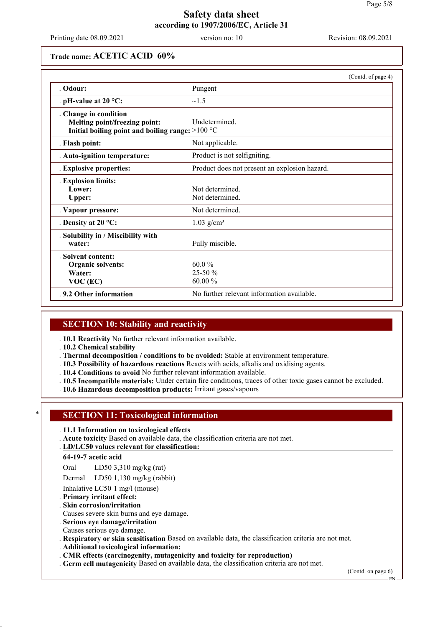Printing date 08.09.2021 version no: 10 Revision: 08.09.2021

## **Trade name: ACETIC ACID 60%**

|                                                                                                              | (Contd. of page 4)                            |
|--------------------------------------------------------------------------------------------------------------|-----------------------------------------------|
| . Odour:                                                                                                     | Pungent                                       |
| . pH-value at $20 °C$ :                                                                                      | $\sim$ 1.5                                    |
| . Change in condition<br>Melting point/freezing point:<br>Initial boiling point and boiling range: $>100 °C$ | Undetermined.                                 |
| . Flash point:                                                                                               | Not applicable.                               |
| . Auto-ignition temperature:                                                                                 | Product is not selfigniting.                  |
| . Explosive properties:                                                                                      | Product does not present an explosion hazard. |
| . Explosion limits:<br>Lower:<br><b>Upper:</b>                                                               | Not determined<br>Not determined.             |
| . Vapour pressure:                                                                                           | Not determined.                               |
| . Density at $20^{\circ}$ C:                                                                                 | $1.03$ g/cm <sup>3</sup>                      |
| . Solubility in / Miscibility with<br>water:                                                                 | Fully miscible.                               |
| . Solvent content:<br><b>Organic solvents:</b><br>Water:<br>VOC (EC)                                         | $60.0\%$<br>25-50 %<br>60.00%                 |
| .9.2 Other information                                                                                       | No further relevant information available.    |

# **SECTION 10: Stability and reactivity**

- . **10.1 Reactivity** No further relevant information available.
- . **10.2 Chemical stability**
- . **Thermal decomposition / conditions to be avoided:** Stable at environment temperature.
- . **10.3 Possibility of hazardous reactions** Reacts with acids, alkalis and oxidising agents.
- . **10.4 Conditions to avoid** No further relevant information available.
- . **10.5 Incompatible materials:** Under certain fire conditions, traces of other toxic gases cannot be excluded.
- . **10.6 Hazardous decomposition products:** Irritant gases/vapours

## **SECTION 11: Toxicological information**

- . **11.1 Information on toxicological effects**
- . **Acute toxicity** Based on available data, the classification criteria are not met.
- **LD/LC50 values relevant for classification:** .

#### **64-19-7 acetic acid**

- Oral LD50 3,310 mg/kg (rat)
- Dermal LD50 1,130 mg/kg (rabbit)

Inhalative LC50 1 mg/l (mouse)

- . **Primary irritant effect:**
- . **Skin corrosion/irritation**
- Causes severe skin burns and eye damage.
- . **Serious eye damage/irritation**
- Causes serious eye damage.
- . **Respiratory or skin sensitisation** Based on available data, the classification criteria are not met.
- . **Additional toxicological information:**
- . **CMR effects (carcinogenity, mutagenicity and toxicity for reproduction)**
- . **Germ cell mutagenicity** Based on available data, the classification criteria are not met.

(Contd. on page 6)

EN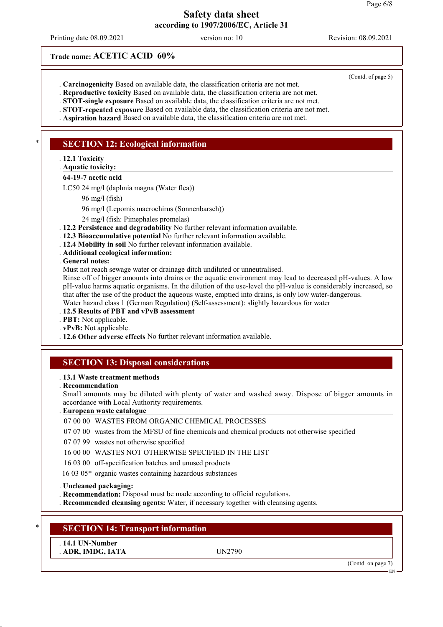Printing date 08.09.2021 version no: 10 Revision: 08.09.2021

(Contd. of page 5)

**Trade name: ACETIC ACID 60%**

- . **Carcinogenicity** Based on available data, the classification criteria are not met.
- . **Reproductive toxicity** Based on available data, the classification criteria are not met.
- . **STOT-single exposure** Based on available data, the classification criteria are not met.
- . **STOT-repeated exposure** Based on available data, the classification criteria are not met.
- . **Aspiration hazard** Based on available data, the classification criteria are not met.

## **SECTION 12: Ecological information**

- . **12.1 Toxicity**
- **Aquatic toxicity:** .

#### **64-19-7 acetic acid**

- LC50 24 mg/l (daphnia magna (Water flea))
	- 96 mg/l (fish)
	- 96 mg/l (Lepomis macrochirus (Sonnenbarsch))
	- 24 mg/l (fish: Pimephales promelas)
- . **12.2 Persistence and degradability** No further relevant information available.
- . **12.3 Bioaccumulative potential** No further relevant information available.
- . **12.4 Mobility in soil** No further relevant information available.
- . **Additional ecological information:**
- . **General notes:**
- Must not reach sewage water or drainage ditch undiluted or unneutralised.

Rinse off of bigger amounts into drains or the aquatic environment may lead to decreased pH-values. A low pH-value harms aquatic organisms. In the dilution of the use-level the pH-value is considerably increased, so that after the use of the product the aqueous waste, emptied into drains, is only low water-dangerous.

- Water hazard class 1 (German Regulation) (Self-assessment): slightly hazardous for water
- . **12.5 Results of PBT and vPvB assessment**
- . **PBT:** Not applicable.
- . **vPvB:** Not applicable.
- . **12.6 Other adverse effects** No further relevant information available.

## **SECTION 13: Disposal considerations**

#### . **13.1 Waste treatment methods**

. **Recommendation**

Small amounts may be diluted with plenty of water and washed away. Dispose of bigger amounts in accordance with Local Authority requirements.

**European waste catalogue** .

#### 07 00 00 WASTES FROM ORGANIC CHEMICAL PROCESSES

- 07 07 00 wastes from the MFSU of fine chemicals and chemical products not otherwise specified
- 07 07 99 wastes not otherwise specified
- 16 00 00 WASTES NOT OTHERWISE SPECIFIED IN THE LIST
- 16 03 00 off-specification batches and unused products
- 16 03 05\* organic wastes containing hazardous substances

. **Uncleaned packaging:**

- . **Recommendation:** Disposal must be made according to official regulations.
- . **Recommended cleansing agents:** Water, if necessary together with cleansing agents.

## **SECTION 14: Transport information**

. **14.1 UN-Number**

. **ADR, IMDG, IATA** UN2790

(Contd. on page 7)

# EN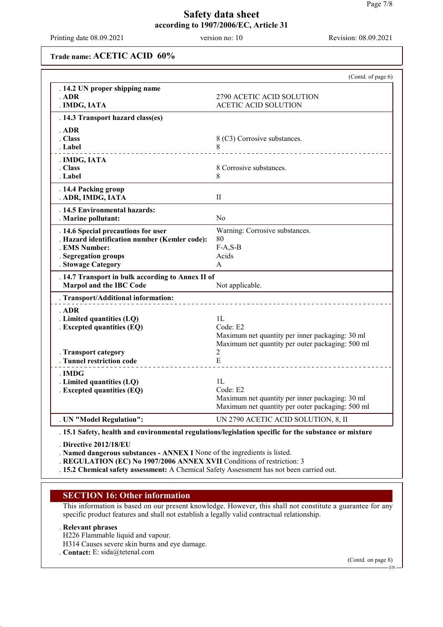Printing date 08.09.2021 version no: 10 Revision: 08.09.2021

**Trade name: ACETIC ACID 60%**

| . 14.2 UN proper shipping name<br>2790 ACETIC ACID SOLUTION<br>$.$ ADR<br><b>ACETIC ACID SOLUTION</b><br>. IMDG, IATA<br>. 14.3 Transport hazard class(es)<br>$.$ ADR<br>. Class<br>8 (C3) Corrosive substances.<br>. Label<br>8<br>.<br><u> - - - - - - - - - - - -</u><br>. IMDG, IATA<br>8 Corrosive substances.<br>. Class<br>8<br>. Label<br>. 14.4 Packing group<br>. ADR, IMDG, IATA<br>$\mathbf{I}$<br>. 14.5 Environmental hazards:<br>. Marine pollutant:<br>N <sub>0</sub><br>Warning: Corrosive substances.<br>. 14.6 Special precautions for user<br>80<br>. Hazard identification number (Kemler code):<br>$F-A, S-B$<br>. EMS Number:<br>Acids<br>. Segregation groups<br>. Stowage Category<br>A<br>. 14.7 Transport in bulk according to Annex II of<br><b>Marpol and the IBC Code</b><br>Not applicable.<br>. Transport/Additional information:<br>. ADR<br>1L<br>. Limited quantities (LQ)<br>Code: E2<br>. Excepted quantities (EQ)<br>Maximum net quantity per inner packaging: 30 ml<br>Maximum net quantity per outer packaging: 500 ml<br>$\overline{2}$<br>. Transport category<br>Tunnel restriction code<br>E<br>. IMDG<br>1L<br>. Limited quantities (LQ)<br>. Excepted quantities (EQ)<br>Code: E2 | (Contd. of page 6)                              |
|---------------------------------------------------------------------------------------------------------------------------------------------------------------------------------------------------------------------------------------------------------------------------------------------------------------------------------------------------------------------------------------------------------------------------------------------------------------------------------------------------------------------------------------------------------------------------------------------------------------------------------------------------------------------------------------------------------------------------------------------------------------------------------------------------------------------------------------------------------------------------------------------------------------------------------------------------------------------------------------------------------------------------------------------------------------------------------------------------------------------------------------------------------------------------------------------------------------------------------|-------------------------------------------------|
|                                                                                                                                                                                                                                                                                                                                                                                                                                                                                                                                                                                                                                                                                                                                                                                                                                                                                                                                                                                                                                                                                                                                                                                                                                 |                                                 |
|                                                                                                                                                                                                                                                                                                                                                                                                                                                                                                                                                                                                                                                                                                                                                                                                                                                                                                                                                                                                                                                                                                                                                                                                                                 |                                                 |
|                                                                                                                                                                                                                                                                                                                                                                                                                                                                                                                                                                                                                                                                                                                                                                                                                                                                                                                                                                                                                                                                                                                                                                                                                                 |                                                 |
|                                                                                                                                                                                                                                                                                                                                                                                                                                                                                                                                                                                                                                                                                                                                                                                                                                                                                                                                                                                                                                                                                                                                                                                                                                 |                                                 |
|                                                                                                                                                                                                                                                                                                                                                                                                                                                                                                                                                                                                                                                                                                                                                                                                                                                                                                                                                                                                                                                                                                                                                                                                                                 |                                                 |
|                                                                                                                                                                                                                                                                                                                                                                                                                                                                                                                                                                                                                                                                                                                                                                                                                                                                                                                                                                                                                                                                                                                                                                                                                                 |                                                 |
|                                                                                                                                                                                                                                                                                                                                                                                                                                                                                                                                                                                                                                                                                                                                                                                                                                                                                                                                                                                                                                                                                                                                                                                                                                 |                                                 |
|                                                                                                                                                                                                                                                                                                                                                                                                                                                                                                                                                                                                                                                                                                                                                                                                                                                                                                                                                                                                                                                                                                                                                                                                                                 |                                                 |
|                                                                                                                                                                                                                                                                                                                                                                                                                                                                                                                                                                                                                                                                                                                                                                                                                                                                                                                                                                                                                                                                                                                                                                                                                                 |                                                 |
|                                                                                                                                                                                                                                                                                                                                                                                                                                                                                                                                                                                                                                                                                                                                                                                                                                                                                                                                                                                                                                                                                                                                                                                                                                 |                                                 |
|                                                                                                                                                                                                                                                                                                                                                                                                                                                                                                                                                                                                                                                                                                                                                                                                                                                                                                                                                                                                                                                                                                                                                                                                                                 |                                                 |
| Maximum net quantity per outer packaging: 500 ml                                                                                                                                                                                                                                                                                                                                                                                                                                                                                                                                                                                                                                                                                                                                                                                                                                                                                                                                                                                                                                                                                                                                                                                | Maximum net quantity per inner packaging: 30 ml |
| UN 2790 ACETIC ACID SOLUTION, 8, II<br>. UN "Model Regulation":                                                                                                                                                                                                                                                                                                                                                                                                                                                                                                                                                                                                                                                                                                                                                                                                                                                                                                                                                                                                                                                                                                                                                                 |                                                 |

. **15.1 Safety, health and environmental regulations/legislation specific for the substance or mixture**

. **Directive 2012/18/EU**

. **Named dangerous substances - ANNEX I** None of the ingredients is listed.

. **REGULATION (EC) No 1907/2006 ANNEX XVII** Conditions of restriction: 3

. **15.2 Chemical safety assessment:** A Chemical Safety Assessment has not been carried out.

# **SECTION 16: Other information**

This information is based on our present knowledge. However, this shall not constitute a guarantee for any specific product features and shall not establish a legally valid contractual relationship.

#### . **Relevant phrases**

- H226 Flammable liquid and vapour.
- H314 Causes severe skin burns and eye damage.
- . **Contact:** E: sida@tetenal.com

(Contd. on page 8)

EN